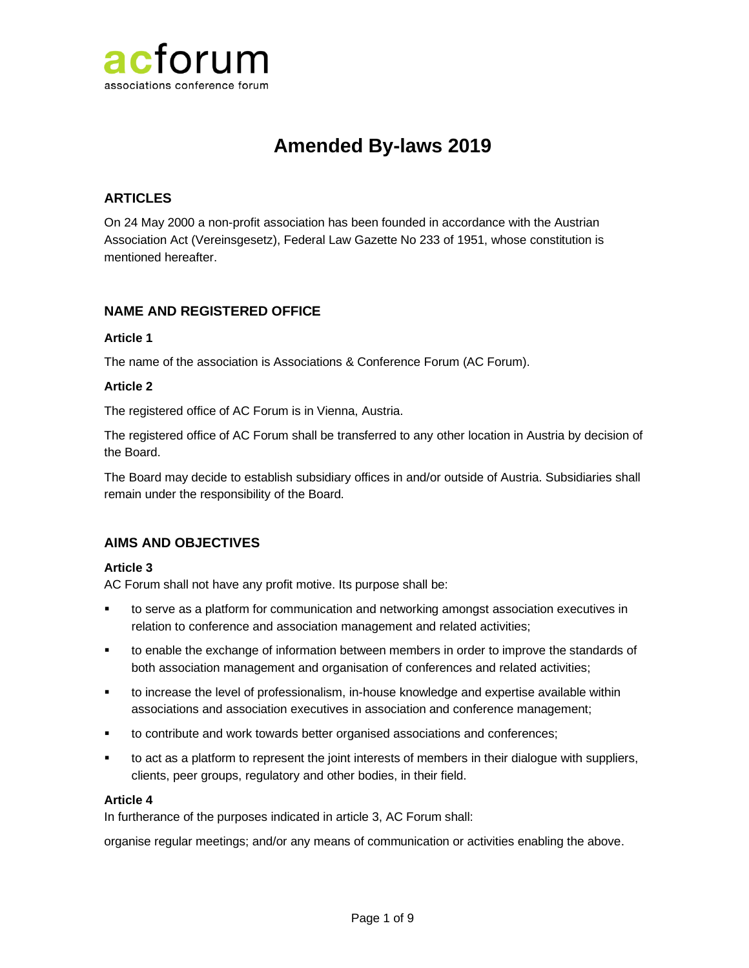

# **Amended By-laws 2019**

# **ARTICLES**

On 24 May 2000 a non-profit association has been founded in accordance with the Austrian Association Act (Vereinsgesetz), Federal Law Gazette No 233 of 1951, whose constitution is mentioned hereafter.

### **NAME AND REGISTERED OFFICE**

# **Article 1**

The name of the association is Associations & Conference Forum (AC Forum).

#### **Article 2**

The registered office of AC Forum is in Vienna, Austria.

The registered office of AC Forum shall be transferred to any other location in Austria by decision of the Board.

The Board may decide to establish subsidiary offices in and/or outside of Austria. Subsidiaries shall remain under the responsibility of the Board.

# **AIMS AND OBJECTIVES**

#### **Article 3**

AC Forum shall not have any profit motive. Its purpose shall be:

- to serve as a platform for communication and networking amongst association executives in relation to conference and association management and related activities;
- to enable the exchange of information between members in order to improve the standards of both association management and organisation of conferences and related activities;
- to increase the level of professionalism, in-house knowledge and expertise available within associations and association executives in association and conference management;
- to contribute and work towards better organised associations and conferences;
- to act as a platform to represent the joint interests of members in their dialogue with suppliers, clients, peer groups, regulatory and other bodies, in their field.

#### **Article 4**

In furtherance of the purposes indicated in article 3, AC Forum shall:

organise regular meetings; and/or any means of communication or activities enabling the above.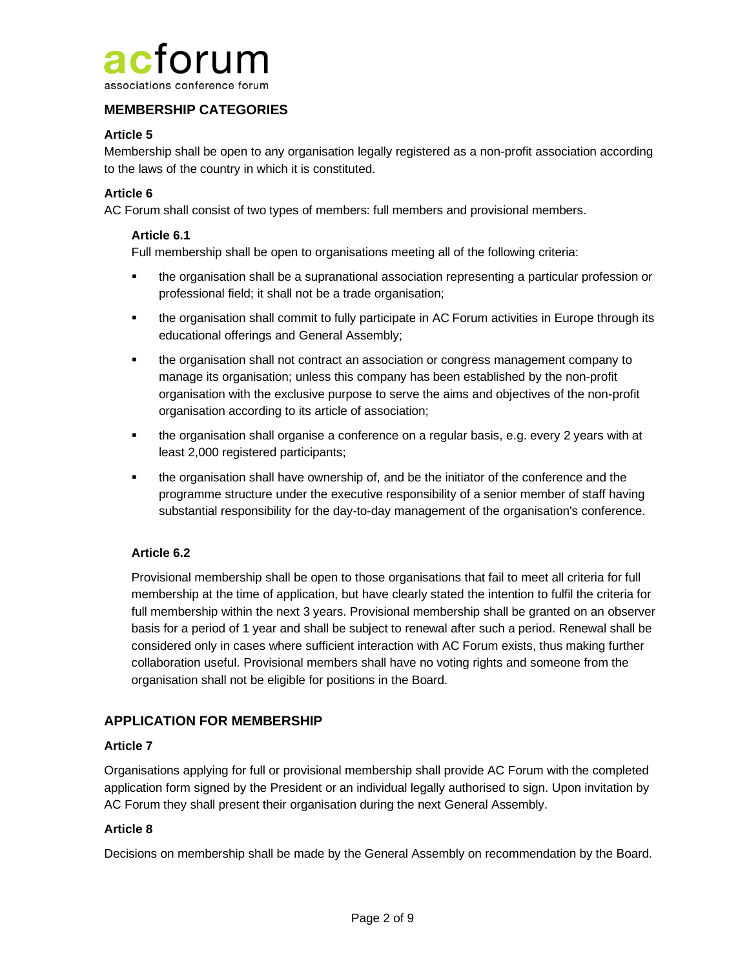

# **MEMBERSHIP CATEGORIES**

### **Article 5**

Membership shall be open to any organisation legally registered as a non-profit association according to the laws of the country in which it is constituted.

#### **Article 6**

AC Forum shall consist of two types of members: full members and provisional members.

#### **Article 6.1**

Full membership shall be open to organisations meeting all of the following criteria:

- **•** the organisation shall be a supranational association representing a particular profession or professional field; it shall not be a trade organisation;
- **•** the organisation shall commit to fully participate in AC Forum activities in Europe through its educational offerings and General Assembly;
- **•** the organisation shall not contract an association or congress management company to manage its organisation; unless this company has been established by the non-profit organisation with the exclusive purpose to serve the aims and objectives of the non-profit organisation according to its article of association;
- **•** the organisation shall organise a conference on a regular basis, e.g. every 2 years with at least 2,000 registered participants;
- **•** the organisation shall have ownership of, and be the initiator of the conference and the programme structure under the executive responsibility of a senior member of staff having substantial responsibility for the day-to-day management of the organisation's conference.

#### **Article 6.2**

Provisional membership shall be open to those organisations that fail to meet all criteria for full membership at the time of application, but have clearly stated the intention to fulfil the criteria for full membership within the next 3 years. Provisional membership shall be granted on an observer basis for a period of 1 year and shall be subject to renewal after such a period. Renewal shall be considered only in cases where sufficient interaction with AC Forum exists, thus making further collaboration useful. Provisional members shall have no voting rights and someone from the organisation shall not be eligible for positions in the Board.

# **APPLICATION FOR MEMBERSHIP**

#### **Article 7**

Organisations applying for full or provisional membership shall provide AC Forum with the completed application form signed by the President or an individual legally authorised to sign. Upon invitation by AC Forum they shall present their organisation during the next General Assembly.

#### **Article 8**

Decisions on membership shall be made by the General Assembly on recommendation by the Board.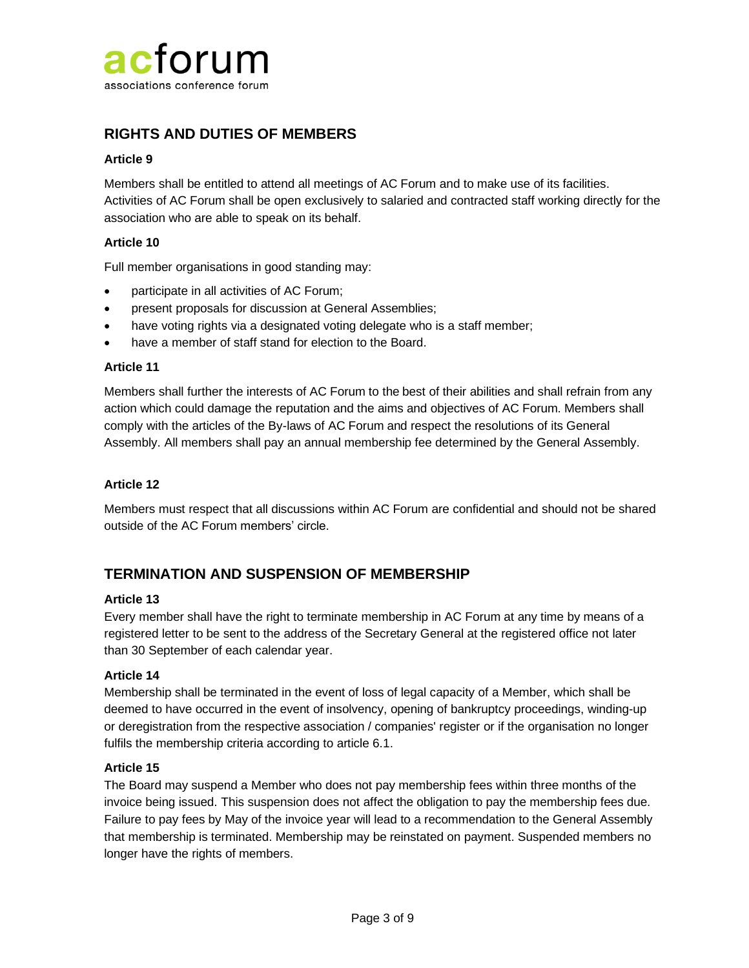

# **RIGHTS AND DUTIES OF MEMBERS**

#### **Article 9**

Members shall be entitled to attend all meetings of AC Forum and to make use of its facilities. Activities of AC Forum shall be open exclusively to salaried and contracted staff working directly for the association who are able to speak on its behalf.

#### **Article 10**

Full member organisations in good standing may:

- participate in all activities of AC Forum;
- present proposals for discussion at General Assemblies;
- have voting rights via a designated voting delegate who is a staff member;
- have a member of staff stand for election to the Board.

#### **Article 11**

Members shall further the interests of AC Forum to the best of their abilities and shall refrain from any action which could damage the reputation and the aims and objectives of AC Forum. Members shall comply with the articles of the By-laws of AC Forum and respect the resolutions of its General Assembly. All members shall pay an annual membership fee determined by the General Assembly.

#### **Article 12**

Members must respect that all discussions within AC Forum are confidential and should not be shared outside of the AC Forum members' circle.

# **TERMINATION AND SUSPENSION OF MEMBERSHIP**

#### **Article 13**

Every member shall have the right to terminate membership in AC Forum at any time by means of a registered letter to be sent to the address of the Secretary General at the registered office not later than 30 September of each calendar year.

#### **Article 14**

Membership shall be terminated in the event of loss of legal capacity of a Member, which shall be deemed to have occurred in the event of insolvency, opening of bankruptcy proceedings, winding-up or deregistration from the respective association / companies' register or if the organisation no longer fulfils the membership criteria according to article 6.1.

#### **Article 15**

The Board may suspend a Member who does not pay membership fees within three months of the invoice being issued. This suspension does not affect the obligation to pay the membership fees due. Failure to pay fees by May of the invoice year will lead to a recommendation to the General Assembly that membership is terminated. Membership may be reinstated on payment. Suspended members no longer have the rights of members.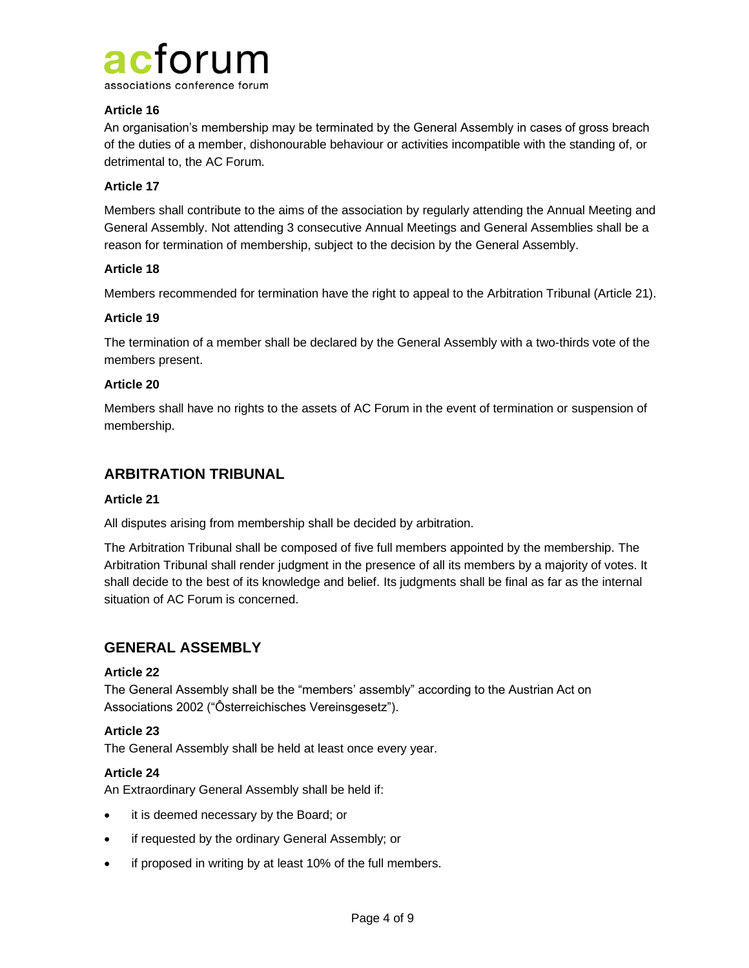

#### **Article 16**

An organisation's membership may be terminated by the General Assembly in cases of gross breach of the duties of a member, dishonourable behaviour or activities incompatible with the standing of, or detrimental to, the AC Forum.

#### **Article 17**

Members shall contribute to the aims of the association by regularly attending the Annual Meeting and General Assembly. Not attending 3 consecutive Annual Meetings and General Assemblies shall be a reason for termination of membership, subject to the decision by the General Assembly.

#### **Article 18**

Members recommended for termination have the right to appeal to the Arbitration Tribunal (Article 21).

#### **Article 19**

The termination of a member shall be declared by the General Assembly with a two-thirds vote of the members present.

#### **Article 20**

Members shall have no rights to the assets of AC Forum in the event of termination or suspension of membership.

# **ARBITRATION TRIBUNAL**

#### **Article 21**

All disputes arising from membership shall be decided by arbitration.

The Arbitration Tribunal shall be composed of five full members appointed by the membership. The Arbitration Tribunal shall render judgment in the presence of all its members by a majority of votes. It shall decide to the best of its knowledge and belief. Its judgments shall be final as far as the internal situation of AC Forum is concerned.

# **GENERAL ASSEMBLY**

#### **Article 22**

The General Assembly shall be the "members' assembly" according to the Austrian Act on Associations 2002 ("Ôsterreichisches Vereinsgesetz").

#### **Article 23**

The General Assembly shall be held at least once every year.

#### **Article 24**

An Extraordinary General Assembly shall be held if:

- it is deemed necessary by the Board; or
- if requested by the ordinary General Assembly; or
- if proposed in writing by at least 10% of the full members.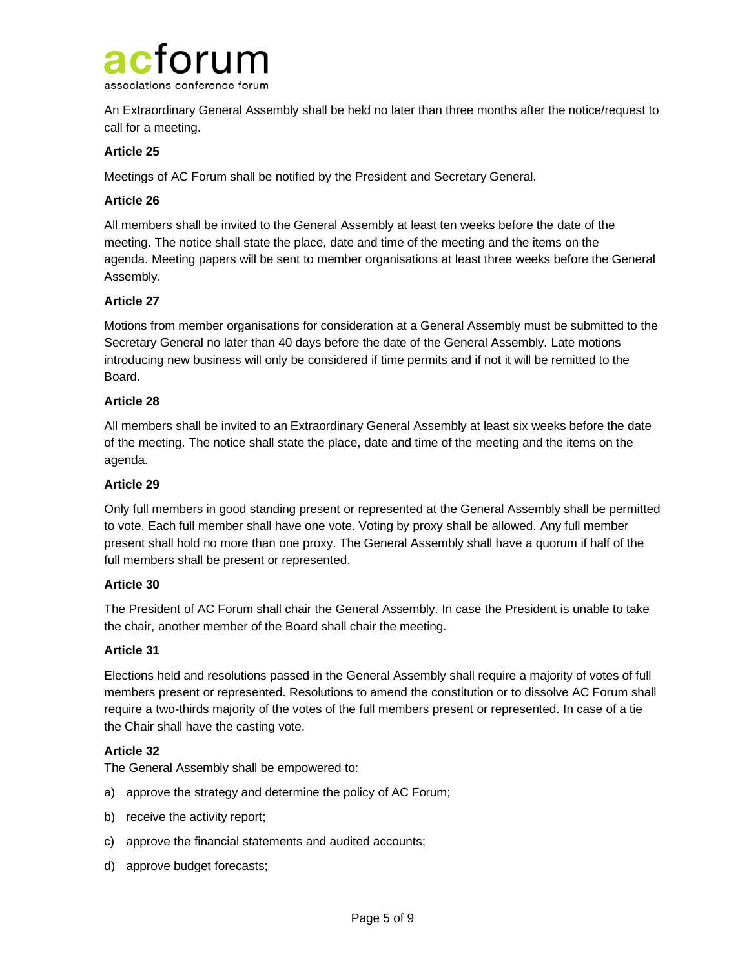

An Extraordinary General Assembly shall be held no later than three months after the notice/request to call for a meeting.

#### **Article 25**

Meetings of AC Forum shall be notified by the President and Secretary General.

#### **Article 26**

All members shall be invited to the General Assembly at least ten weeks before the date of the meeting. The notice shall state the place, date and time of the meeting and the items on the agenda. Meeting papers will be sent to member organisations at least three weeks before the General Assembly.

#### **Article 27**

Motions from member organisations for consideration at a General Assembly must be submitted to the Secretary General no later than 40 days before the date of the General Assembly. Late motions introducing new business will only be considered if time permits and if not it will be remitted to the Board.

#### **Article 28**

All members shall be invited to an Extraordinary General Assembly at least six weeks before the date of the meeting. The notice shall state the place, date and time of the meeting and the items on the agenda.

#### **Article 29**

Only full members in good standing present or represented at the General Assembly shall be permitted to vote. Each full member shall have one vote. Voting by proxy shall be allowed. Any full member present shall hold no more than one proxy. The General Assembly shall have a quorum if half of the full members shall be present or represented.

#### **Article 30**

The President of AC Forum shall chair the General Assembly. In case the President is unable to take the chair, another member of the Board shall chair the meeting.

#### **Article 31**

Elections held and resolutions passed in the General Assembly shall require a majority of votes of full members present or represented. Resolutions to amend the constitution or to dissolve AC Forum shall require a two-thirds majority of the votes of the full members present or represented. In case of a tie the Chair shall have the casting vote.

#### **Article 32**

The General Assembly shall be empowered to:

- a) approve the strategy and determine the policy of AC Forum;
- b) receive the activity report;
- c) approve the financial statements and audited accounts;
- d) approve budget forecasts;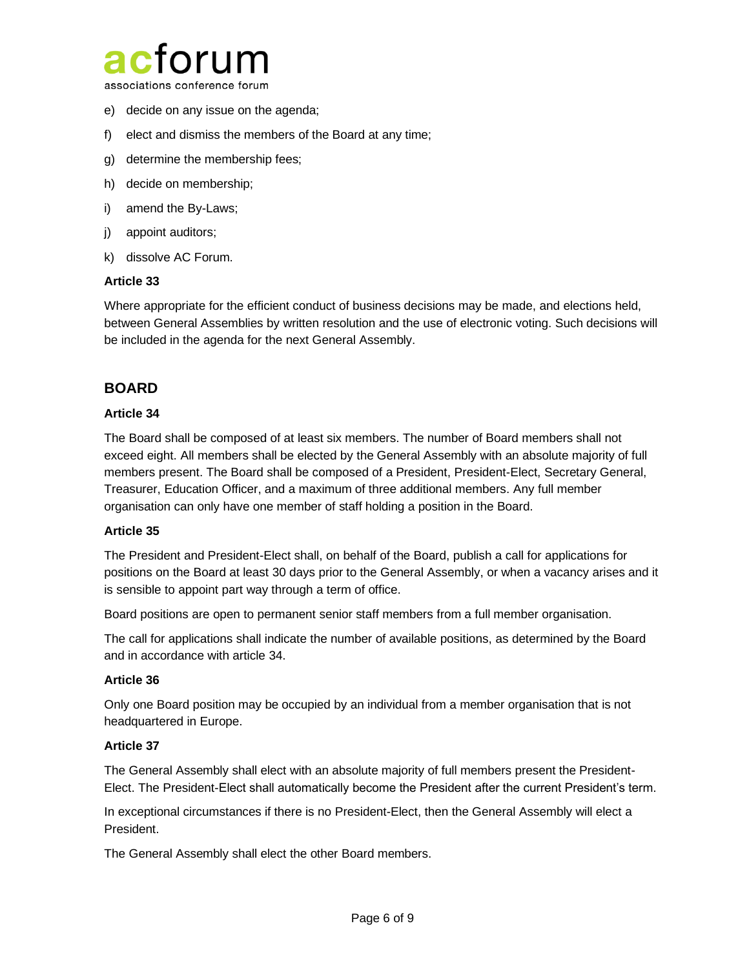

associations conference forum

- e) decide on any issue on the agenda;
- f) elect and dismiss the members of the Board at any time;
- g) determine the membership fees;
- h) decide on membership;
- i) amend the By-Laws;
- j) appoint auditors;
- k) dissolve AC Forum.

#### **Article 33**

Where appropriate for the efficient conduct of business decisions may be made, and elections held, between General Assemblies by written resolution and the use of electronic voting. Such decisions will be included in the agenda for the next General Assembly.

# **BOARD**

#### **Article 34**

The Board shall be composed of at least six members. The number of Board members shall not exceed eight. All members shall be elected by the General Assembly with an absolute majority of full members present. The Board shall be composed of a President, President-Elect, Secretary General, Treasurer, Education Officer, and a maximum of three additional members. Any full member organisation can only have one member of staff holding a position in the Board.

#### **Article 35**

The President and President-Elect shall, on behalf of the Board, publish a call for applications for positions on the Board at least 30 days prior to the General Assembly, or when a vacancy arises and it is sensible to appoint part way through a term of office.

Board positions are open to permanent senior staff members from a full member organisation.

The call for applications shall indicate the number of available positions, as determined by the Board and in accordance with article 34.

#### **Article 36**

Only one Board position may be occupied by an individual from a member organisation that is not headquartered in Europe.

#### **Article 37**

The General Assembly shall elect with an absolute majority of full members present the President-Elect. The President-Elect shall automatically become the President after the current President's term.

In exceptional circumstances if there is no President-Elect, then the General Assembly will elect a President.

The General Assembly shall elect the other Board members.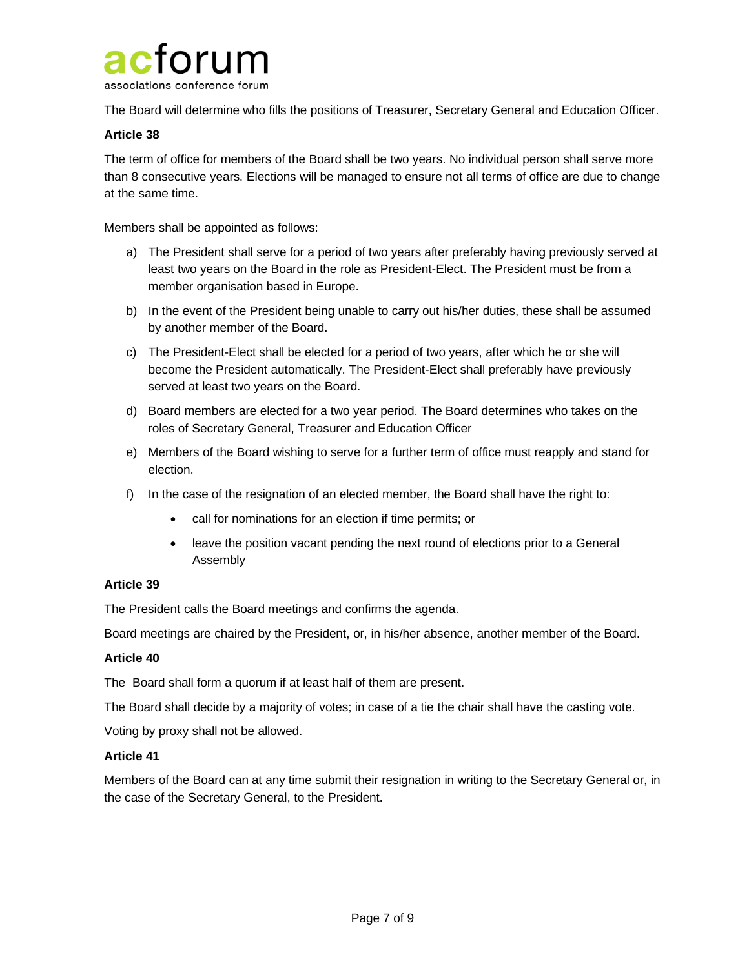

The Board will determine who fills the positions of Treasurer, Secretary General and Education Officer.

#### **Article 38**

The term of office for members of the Board shall be two years. No individual person shall serve more than 8 consecutive years. Elections will be managed to ensure not all terms of office are due to change at the same time.

Members shall be appointed as follows:

- a) The President shall serve for a period of two years after preferably having previously served at least two years on the Board in the role as President-Elect. The President must be from a member organisation based in Europe.
- b) In the event of the President being unable to carry out his/her duties, these shall be assumed by another member of the Board.
- c) The President-Elect shall be elected for a period of two years, after which he or she will become the President automatically. The President-Elect shall preferably have previously served at least two years on the Board.
- d) Board members are elected for a two year period. The Board determines who takes on the roles of Secretary General, Treasurer and Education Officer
- e) Members of the Board wishing to serve for a further term of office must reapply and stand for election.
- f) In the case of the resignation of an elected member, the Board shall have the right to:
	- call for nominations for an election if time permits; or
	- leave the position vacant pending the next round of elections prior to a General Assembly

#### **Article 39**

The President calls the Board meetings and confirms the agenda.

Board meetings are chaired by the President, or, in his/her absence, another member of the Board.

#### **Article 40**

The Board shall form a quorum if at least half of them are present.

The Board shall decide by a majority of votes; in case of a tie the chair shall have the casting vote.

Voting by proxy shall not be allowed.

#### **Article 41**

Members of the Board can at any time submit their resignation in writing to the Secretary General or, in the case of the Secretary General, to the President.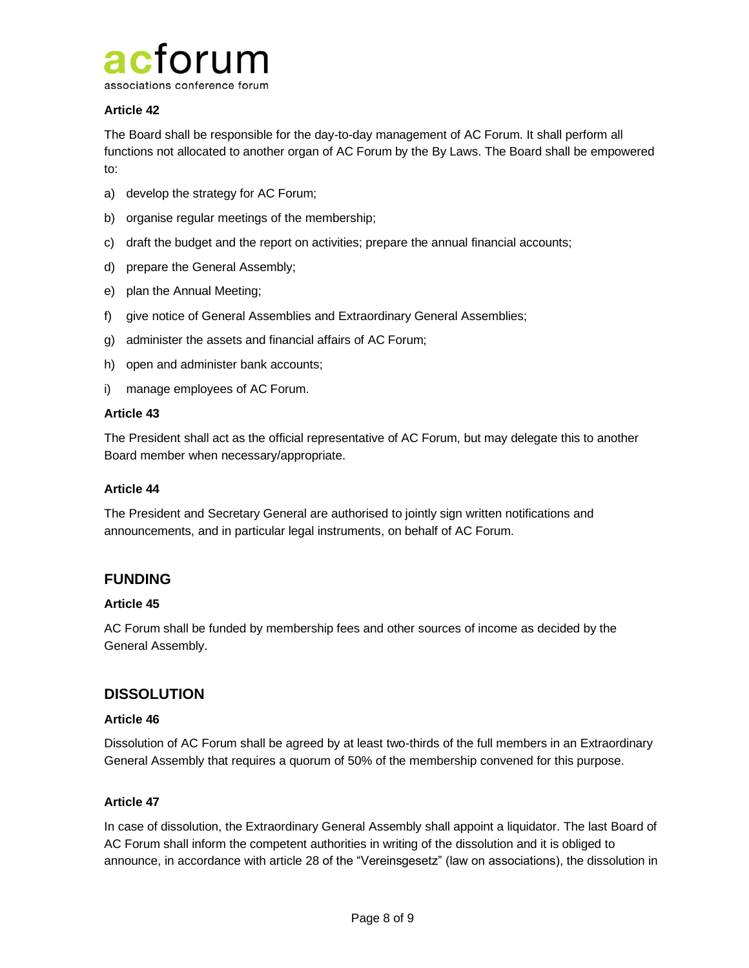

### **Article 42**

The Board shall be responsible for the day-to-day management of AC Forum. It shall perform all functions not allocated to another organ of AC Forum by the By Laws. The Board shall be empowered to:

- a) develop the strategy for AC Forum;
- b) organise regular meetings of the membership;
- c) draft the budget and the report on activities; prepare the annual financial accounts;
- d) prepare the General Assembly;
- e) plan the Annual Meeting;
- f) give notice of General Assemblies and Extraordinary General Assemblies;
- g) administer the assets and financial affairs of AC Forum;
- h) open and administer bank accounts;
- i) manage employees of AC Forum.

#### **Article 43**

The President shall act as the official representative of AC Forum, but may delegate this to another Board member when necessary/appropriate.

#### **Article 44**

The President and Secretary General are authorised to jointly sign written notifications and announcements, and in particular legal instruments, on behalf of AC Forum.

# **FUNDING**

#### **Article 45**

AC Forum shall be funded by membership fees and other sources of income as decided by the General Assembly.

# **DISSOLUTION**

#### **Article 46**

Dissolution of AC Forum shall be agreed by at least two-thirds of the full members in an Extraordinary General Assembly that requires a quorum of 50% of the membership convened for this purpose.

#### **Article 47**

In case of dissolution, the Extraordinary General Assembly shall appoint a liquidator. The last Board of AC Forum shall inform the competent authorities in writing of the dissolution and it is obliged to announce, in accordance with article 28 of the "Vereinsgesetz" (law on associations), the dissolution in